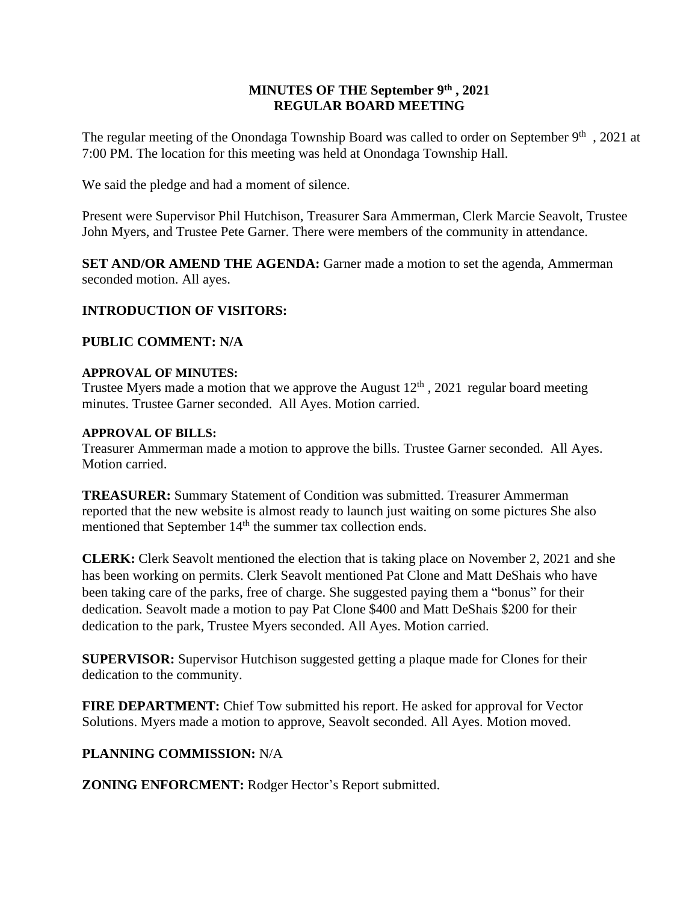### **MINUTES OF THE September 9th , 2021 REGULAR BOARD MEETING**

The regular meeting of the Onondaga Township Board was called to order on September 9<sup>th</sup>, 2021 at 7:00 PM. The location for this meeting was held at Onondaga Township Hall.

We said the pledge and had a moment of silence.

Present were Supervisor Phil Hutchison, Treasurer Sara Ammerman, Clerk Marcie Seavolt, Trustee John Myers, and Trustee Pete Garner. There were members of the community in attendance.

**SET AND/OR AMEND THE AGENDA:** Garner made a motion to set the agenda, Ammerman seconded motion. All ayes.

# **INTRODUCTION OF VISITORS:**

# **PUBLIC COMMENT: N/A**

### **APPROVAL OF MINUTES:**

Trustee Myers made a motion that we approve the August  $12<sup>th</sup>$ , 2021 regular board meeting minutes. Trustee Garner seconded. All Ayes. Motion carried.

### **APPROVAL OF BILLS:**

Treasurer Ammerman made a motion to approve the bills. Trustee Garner seconded. All Ayes. Motion carried.

**TREASURER:** Summary Statement of Condition was submitted. Treasurer Ammerman reported that the new website is almost ready to launch just waiting on some pictures She also mentioned that September 14<sup>th</sup> the summer tax collection ends.

**CLERK:** Clerk Seavolt mentioned the election that is taking place on November 2, 2021 and she has been working on permits. Clerk Seavolt mentioned Pat Clone and Matt DeShais who have been taking care of the parks, free of charge. She suggested paying them a "bonus" for their dedication. Seavolt made a motion to pay Pat Clone \$400 and Matt DeShais \$200 for their dedication to the park, Trustee Myers seconded. All Ayes. Motion carried.

**SUPERVISOR:** Supervisor Hutchison suggested getting a plaque made for Clones for their dedication to the community.

**FIRE DEPARTMENT:** Chief Tow submitted his report. He asked for approval for Vector Solutions. Myers made a motion to approve, Seavolt seconded. All Ayes. Motion moved.

# **PLANNING COMMISSION:** N/A

**ZONING ENFORCMENT:** Rodger Hector's Report submitted.